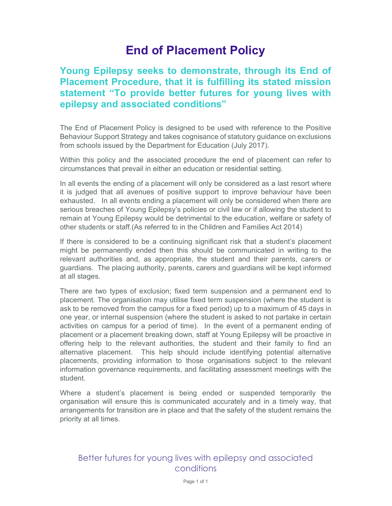## End of Placement Policy

## Young Epilepsy seeks to demonstrate, through its End of Placement Procedure, that it is fulfilling its stated mission statement "To provide better futures for young lives with epilepsy and associated conditions"

The End of Placement Policy is designed to be used with reference to the Positive Behaviour Support Strategy and takes cognisance of statutory guidance on exclusions from schools issued by the Department for Education (July 2017).

Within this policy and the associated procedure the end of placement can refer to circumstances that prevail in either an education or residential setting.

In all events the ending of a placement will only be considered as a last resort where it is judged that all avenues of positive support to improve behaviour have been exhausted. In all events ending a placement will only be considered when there are serious breaches of Young Epilepsy's policies or civil law or if allowing the student to remain at Young Epilepsy would be detrimental to the education, welfare or safety of other students or staff.(As referred to in the Children and Families Act 2014)

If there is considered to be a continuing significant risk that a student's placement might be permanently ended then this should be communicated in writing to the relevant authorities and, as appropriate, the student and their parents, carers or guardians. The placing authority, parents, carers and guardians will be kept informed at all stages.

There are two types of exclusion; fixed term suspension and a permanent end to placement. The organisation may utilise fixed term suspension (where the student is ask to be removed from the campus for a fixed period) up to a maximum of 45 days in one year, or internal suspension (where the student is asked to not partake in certain activities on campus for a period of time). In the event of a permanent ending of placement or a placement breaking down, staff at Young Epilepsy will be proactive in offering help to the relevant authorities, the student and their family to find an alternative placement. This help should include identifying potential alternative placements, providing information to those organisations subject to the relevant information governance requirements, and facilitating assessment meetings with the student.

Where a student's placement is being ended or suspended temporarily the organisation will ensure this is communicated accurately and in a timely way, that arrangements for transition are in place and that the safety of the student remains the priority at all times.

## Better futures for young lives with epilepsy and associated conditions